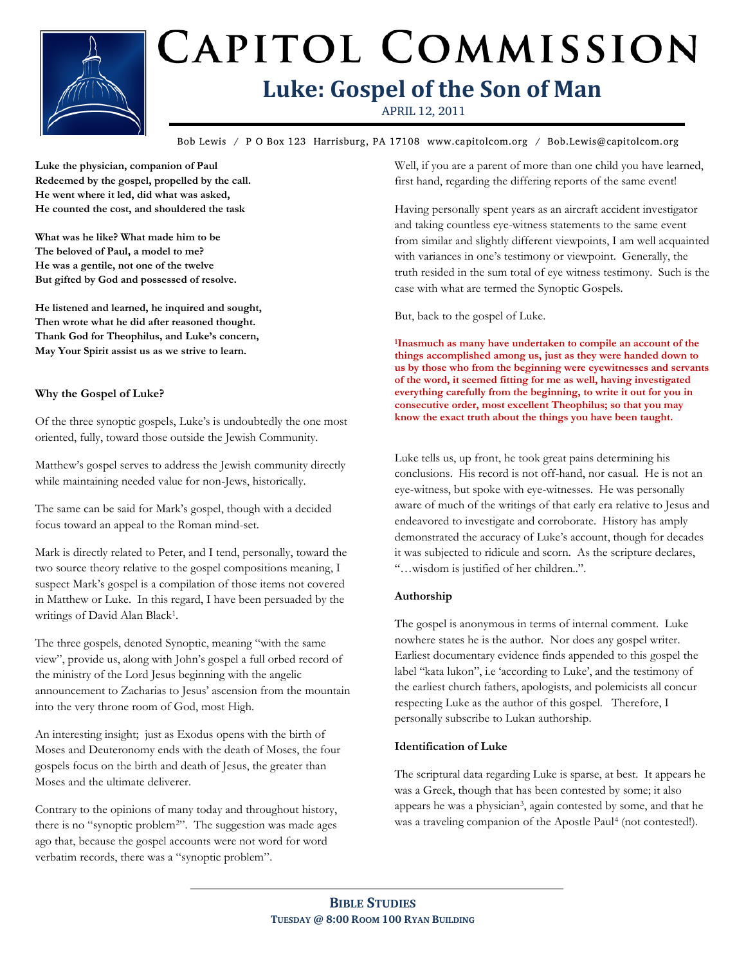

# CAPITOL COMMISSION **Luke: Gospel of the Son of Man**

APRIL 12, 2011

**Bible Study Title** Bob Lewis / P O Box 123 Harrisburg, PA 17108 www.capitolcom.org / Bob.Lewis@capitolcom.org

**Luke the physician, companion of Paul Redeemed by the gospel, propelled by the call. He went where it led, did what was asked, He counted the cost, and shouldered the task**

**What was he like? What made him to be The beloved of Paul, a model to me? He was a gentile, not one of the twelve But gifted by God and possessed of resolve.**

**He listened and learned, he inquired and sought, Then wrote what he did after reasoned thought. Thank God for Theophilus, and Luke's concern, May Your Spirit assist us as we strive to learn.**

### **Why the Gospel of Luke?**

Of the three synoptic gospels, Luke"s is undoubtedly the one most oriented, fully, toward those outside the Jewish Community.

Matthew"s gospel serves to address the Jewish community directly while maintaining needed value for non-Jews, historically.

The same can be said for Mark"s gospel, though with a decided focus toward an appeal to the Roman mind-set.

Mark is directly related to Peter, and I tend, personally, toward the two source theory relative to the gospel compositions meaning, I suspect Mark"s gospel is a compilation of those items not covered in Matthew or Luke. In this regard, I have been persuaded by the writings of David Alan Black<sup>1</sup>.

The three gospels, denoted Synoptic, meaning "with the same view", provide us, along with John"s gospel a full orbed record of the ministry of the Lord Jesus beginning with the angelic announcement to Zacharias to Jesus" ascension from the mountain into the very throne room of God, most High.

An interesting insight; just as Exodus opens with the birth of Moses and Deuteronomy ends with the death of Moses, the four gospels focus on the birth and death of Jesus, the greater than Moses and the ultimate deliverer.

Contrary to the opinions of many today and throughout history, there is no "synoptic problem2". The suggestion was made ages ago that, because the gospel accounts were not word for word verbatim records, there was a "synoptic problem".

Well, if you are a parent of more than one child you have learned, first hand, regarding the differing reports of the same event!

Having personally spent years as an aircraft accident investigator and taking countless eye-witness statements to the same event from similar and slightly different viewpoints, I am well acquainted with variances in one's testimony or viewpoint. Generally, the truth resided in the sum total of eye witness testimony. Such is the case with what are termed the Synoptic Gospels.

But, back to the gospel of Luke.

**<sup>1</sup>Inasmuch as many have undertaken to compile an account of the things accomplished among us, just as they were handed down to us by those who from the beginning were eyewitnesses and servants of the word, it seemed fitting for me as well, having investigated everything carefully from the beginning, to write it out for you in consecutive order, most excellent Theophilus; so that you may know the exact truth about the things you have been taught.**

Luke tells us, up front, he took great pains determining his conclusions. His record is not off-hand, nor casual. He is not an eye-witness, but spoke with eye-witnesses. He was personally aware of much of the writings of that early era relative to Jesus and endeavored to investigate and corroborate. History has amply demonstrated the accuracy of Luke"s account, though for decades it was subjected to ridicule and scorn. As the scripture declares, "…wisdom is justified of her children..".

#### **Authorship**

The gospel is anonymous in terms of internal comment. Luke nowhere states he is the author. Nor does any gospel writer. Earliest documentary evidence finds appended to this gospel the label "kata lukon", i.e 'according to Luke', and the testimony of the earliest church fathers, apologists, and polemicists all concur respecting Luke as the author of this gospel. Therefore, I personally subscribe to Lukan authorship.

#### **Identification of Luke**

The scriptural data regarding Luke is sparse, at best. It appears he was a Greek, though that has been contested by some; it also appears he was a physician<sup>3</sup>, again contested by some, and that he was a traveling companion of the Apostle Paul<sup>4</sup> (not contested!).